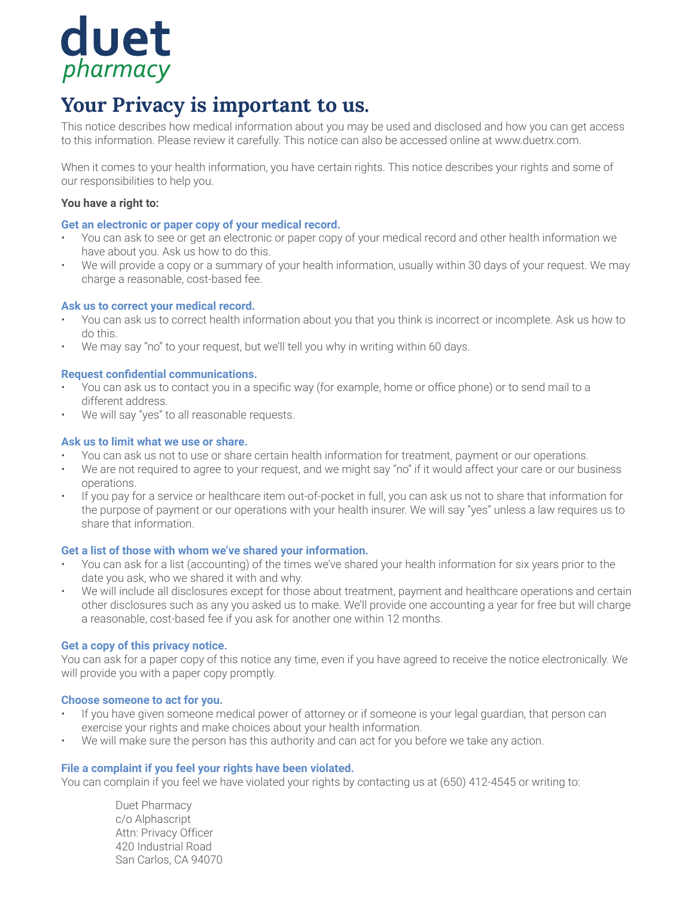

# **Your Privacy is important to us.**

This notice describes how medical information about you may be used and disclosed and how you can get access to this information. Please review it carefully. This notice can also be accessed online at www.duetrx.com.

When it comes to your health information, you have certain rights. This notice describes your rights and some of our responsibilities to help you.

# **You have a right to:**

# **Get an electronic or paper copy of your medical record.**

- You can ask to see or get an electronic or paper copy of your medical record and other health information we have about you. Ask us how to do this.
- We will provide a copy or a summary of your health information, usually within 30 days of your request. We may charge a reasonable, cost-based fee.

# **Ask us to correct your medical record.**

- You can ask us to correct health information about you that you think is incorrect or incomplete. Ask us how to do this.
- We may say "no" to your request, but we'll tell you why in writing within 60 days.

# **Request confidential communications.**

- You can ask us to contact you in a specific way (for example, home or office phone) or to send mail to a different address.
- We will say "yes" to all reasonable requests.

# **Ask us to limit what we use or share.**

- You can ask us not to use or share certain health information for treatment, payment or our operations.
- We are not required to agree to your request, and we might say "no" if it would affect your care or our business operations.
- If you pay for a service or healthcare item out-of-pocket in full, you can ask us not to share that information for the purpose of payment or our operations with your health insurer. We will say "yes" unless a law requires us to share that information.

## **Get a list of those with whom we've shared your information.**

- You can ask for a list (accounting) of the times we've shared your health information for six years prior to the date you ask, who we shared it with and why.
- We will include all disclosures except for those about treatment, payment and healthcare operations and certain other disclosures such as any you asked us to make. We'll provide one accounting a year for free but will charge a reasonable, cost-based fee if you ask for another one within 12 months.

## **Get a copy of this privacy notice.**

You can ask for a paper copy of this notice any time, even if you have agreed to receive the notice electronically. We will provide you with a paper copy promptly.

## **Choose someone to act for you.**

- If you have given someone medical power of attorney or if someone is your legal guardian, that person can exercise your rights and make choices about your health information.
- We will make sure the person has this authority and can act for you before we take any action.

## **File a complaint if you feel your rights have been violated.**

You can complain if you feel we have violated your rights by contacting us at (650) 412-4545 or writing to:

Duet Pharmacy c/o Alphascript Attn: Privacy Officer 420 Industrial Road San Carlos, CA 94070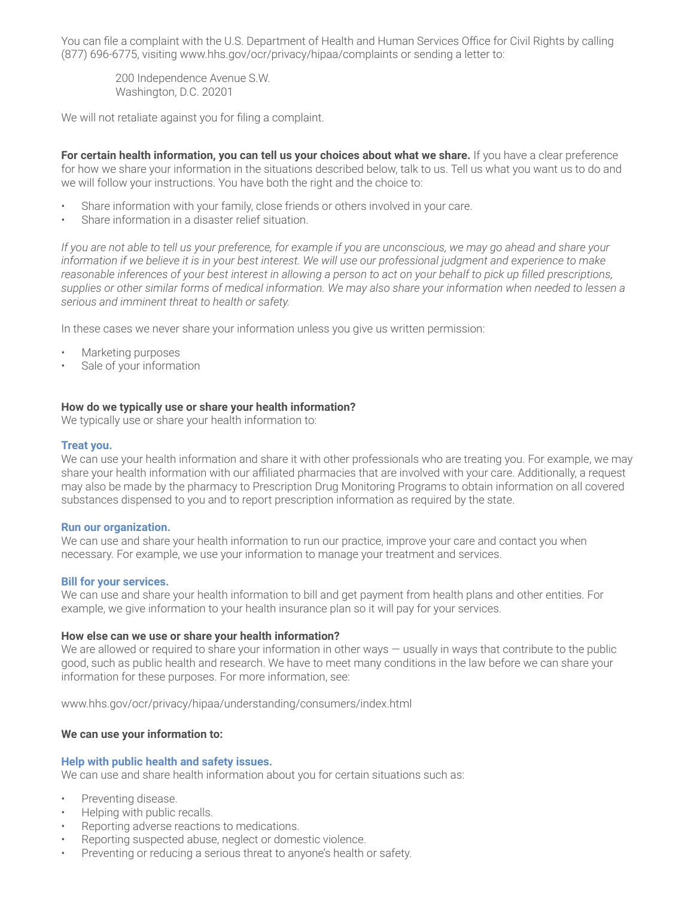You can file a complaint with the U.S. Department of Health and Human Services Office for Civil Rights by calling (877) 696-6775, visiting www.hhs.gov/ocr/privacy/hipaa/complaints or sending a letter to:

200 Independence Avenue S.W. Washington, D.C. 20201

We will not retaliate against you for filing a complaint.

For certain health information, you can tell us your choices about what we share. If you have a clear preference for how we share your information in the situations described below, talk to us. Tell us what you want us to do and we will follow your instructions. You have both the right and the choice to:

- Share information with your family, close friends or others involved in your care.
- Share information in a disaster relief situation.

*If you are not able to tell us your preference, for example if you are unconscious, we may go ahead and share your* information if we believe it is in your best interest. We will use our professional judgment and experience to make *reasonable inferences of your best interest in allowing a person to act on your behalf to pick up filled prescriptions, supplies or other similar forms of medical information. We may also share your information when needed to lessen a serious and imminent threat to health or safety.*

In these cases we never share your information unless you give us written permission:

- Marketing purposes
- Sale of your information

## **How do we typically use or share your health information?**

We typically use or share your health information to:

#### **Treat you.**

We can use your health information and share it with other professionals who are treating you. For example, we may share your health information with our affiliated pharmacies that are involved with your care. Additionally, a request may also be made by the pharmacy to Prescription Drug Monitoring Programs to obtain information on all covered substances dispensed to you and to report prescription information as required by the state.

#### **Run our organization.**

We can use and share your health information to run our practice, improve your care and contact you when necessary. For example, we use your information to manage your treatment and services.

#### **Bill for your services.**

We can use and share your health information to bill and get payment from health plans and other entities. For example, we give information to your health insurance plan so it will pay for your services.

#### **How else can we use or share your health information?**

We are allowed or required to share your information in other ways — usually in ways that contribute to the public good, such as public health and research. We have to meet many conditions in the law before we can share your information for these purposes. For more information, see:

www.hhs.gov/ocr/privacy/hipaa/understanding/consumers/index.html

## **We can use your information to:**

#### **Help with public health and safety issues.**

We can use and share health information about you for certain situations such as:

- Preventing disease.
- Helping with public recalls.
- Reporting adverse reactions to medications.
- Reporting suspected abuse, neglect or domestic violence.
- Preventing or reducing a serious threat to anyone's health or safety.